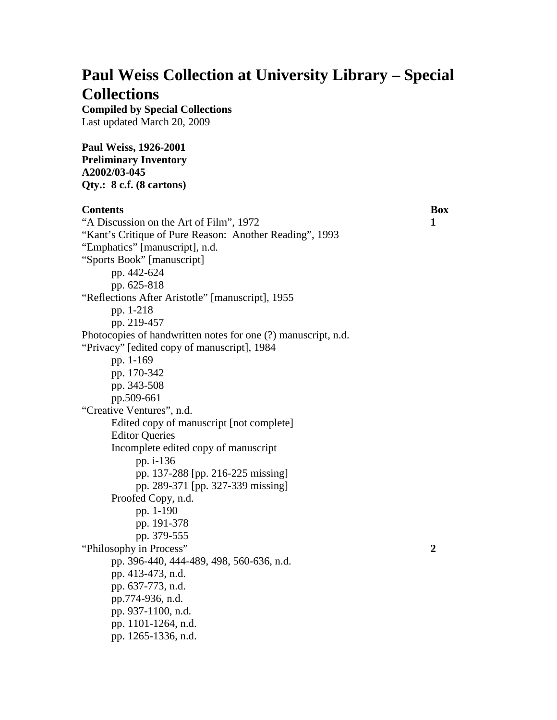# **Paul Weiss Collection at University Library – Special Collections**

**Compiled by Special Collections** Last updated March 20, 2009

**Paul Weiss, 1926-2001 Preliminary Inventory A2002/03-045 Qty.: 8 c.f. (8 cartons)**

## **Contents Box**

"A Discussion on the Art of Film", 1972 **1** "Kant's Critique of Pure Reason: Another Reading", 1993 "Emphatics" [manuscript], n.d. "Sports Book" [manuscript] pp. 442-624 pp. 625-818 "Reflections After Aristotle" [manuscript], 1955 pp. 1-218 pp. 219-457 Photocopies of handwritten notes for one (?) manuscript, n.d. "Privacy" [edited copy of manuscript], 1984 pp. 1-169 pp. 170-342 pp. 343-508 pp.509-661 "Creative Ventures", n.d. Edited copy of manuscript [not complete] Editor Queries Incomplete edited copy of manuscript pp. i-136 pp. 137-288 [pp. 216-225 missing] pp. 289-371 [pp. 327-339 missing] Proofed Copy, n.d. pp. 1-190 pp. 191-378 pp. 379-555 "Philosophy in Process" **2** pp. 396-440, 444-489, 498, 560-636, n.d. pp. 413-473, n.d. pp. 637-773, n.d. pp.774-936, n.d. pp. 937-1100, n.d. pp. 1101-1264, n.d. pp. 1265-1336, n.d.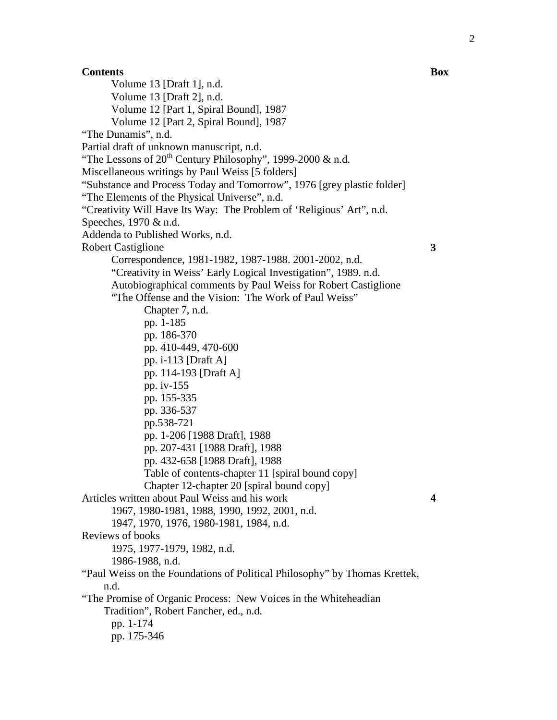**Contents Box** Volume 13 [Draft 1], n.d. Volume 13 [Draft 2], n.d. Volume 12 [Part 1, Spiral Bound], 1987 Volume 12 [Part 2, Spiral Bound], 1987 "The Dunamis", n.d. Partial draft of unknown manuscript, n.d. "The Lessons of  $20^{th}$  Century Philosophy", 1999-2000 & n.d. Miscellaneous writings by Paul Weiss [5 folders] "Substance and Process Today and Tomorrow", 1976 [grey plastic folder] "The Elements of the Physical Universe", n.d. "Creativity Will Have Its Way: The Problem of 'Religious' Art", n.d. Speeches, 1970 & n.d. Addenda to Published Works, n.d. Robert Castiglione **3** Correspondence, 1981-1982, 1987-1988. 2001-2002, n.d. "Creativity in Weiss' Early Logical Investigation", 1989. n.d. Autobiographical comments by Paul Weiss for Robert Castiglione "The Offense and the Vision: The Work of Paul Weiss" Chapter 7, n.d. pp. 1-185 pp. 186-370 pp. 410-449, 470-600 pp. i-113 [Draft A] pp. 114-193 [Draft A] pp. iv-155 pp. 155-335 pp. 336-537 pp.538-721 pp. 1-206 [1988 Draft], 1988 pp. 207-431 [1988 Draft], 1988 pp. 432-658 [1988 Draft], 1988 Table of contents-chapter 11 [spiral bound copy] Chapter 12-chapter 20 [spiral bound copy] Articles written about Paul Weiss and his work **4** 1967, 1980-1981, 1988, 1990, 1992, 2001, n.d. 1947, 1970, 1976, 1980-1981, 1984, n.d. Reviews of books 1975, 1977-1979, 1982, n.d. 1986-1988, n.d. "Paul Weiss on the Foundations of Political Philosophy" by Thomas Krettek, n.d. "The Promise of Organic Process: New Voices in the Whiteheadian Tradition", Robert Fancher, ed., n.d. pp. 1-174 pp. 175-346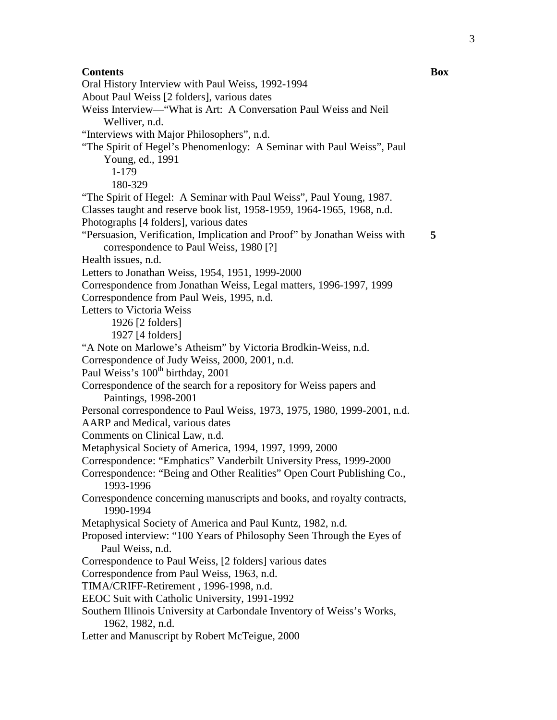## **Contents Box**

Oral History Interview with Paul Weiss, 1992-1994 About Paul Weiss [2 folders], various dates Weiss Interview—"What is Art: A Conversation Paul Weiss and Neil Welliver, n.d. "Interviews with Major Philosophers", n.d. "The Spirit of Hegel's Phenomenlogy: A Seminar with Paul Weiss", Paul Young, ed., 1991 1-179 180-329 "The Spirit of Hegel: A Seminar with Paul Weiss", Paul Young, 1987. Classes taught and reserve book list, 1958-1959, 1964-1965, 1968, n.d. Photographs [4 folders], various dates "Persuasion, Verification, Implication and Proof" by Jonathan Weiss with correspondence to Paul Weiss, 1980 [?] Health issues, n.d. Letters to Jonathan Weiss, 1954, 1951, 1999-2000 Correspondence from Jonathan Weiss, Legal matters, 1996-1997, 1999 Correspondence from Paul Weis, 1995, n.d. Letters to Victoria Weiss 1926 [2 folders] 1927 [4 folders] "A Note on Marlowe's Atheism" by Victoria Brodkin-Weiss, n.d. Correspondence of Judy Weiss, 2000, 2001, n.d. Paul Weiss's 100<sup>th</sup> birthday, 2001 Correspondence of the search for a repository for Weiss papers and Paintings, 1998-2001 Personal correspondence to Paul Weiss, 1973, 1975, 1980, 1999-2001, n.d. AARP and Medical, various dates Comments on Clinical Law, n.d. Metaphysical Society of America, 1994, 1997, 1999, 2000 Correspondence: "Emphatics" Vanderbilt University Press, 1999-2000 Correspondence: "Being and Other Realities" Open Court Publishing Co., 1993-1996 Correspondence concerning manuscripts and books, and royalty contracts, 1990-1994 Metaphysical Society of America and Paul Kuntz, 1982, n.d. Proposed interview: "100 Years of Philosophy Seen Through the Eyes of Paul Weiss, n.d. Correspondence to Paul Weiss, [2 folders] various dates Correspondence from Paul Weiss, 1963, n.d. TIMA/CRIFF-Retirement , 1996-1998, n.d. EEOC Suit with Catholic University, 1991-1992 Southern Illinois University at Carbondale Inventory of Weiss's Works, 1962, 1982, n.d. Letter and Manuscript by Robert McTeigue, 2000

**5**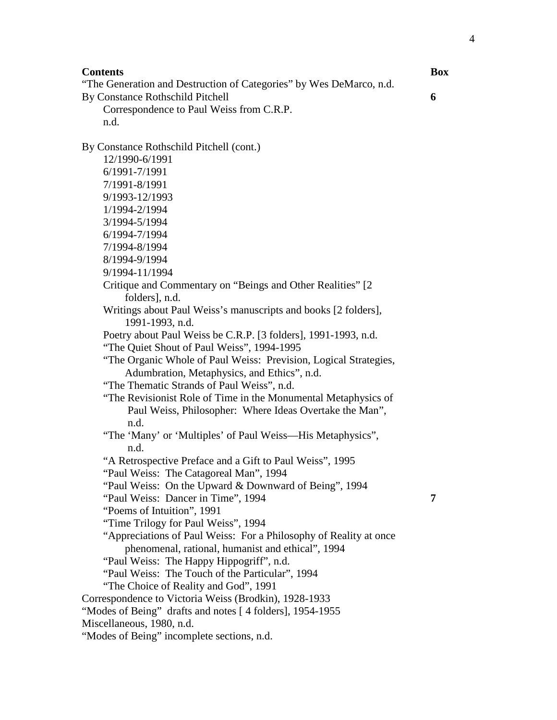#### **Contents Box**

"The Generation and Destruction of Categories" by Wes DeMarco, n.d. By Constance Rothschild Pitchell **6**

Correspondence to Paul Weiss from C.R.P. n.d.

By Constance Rothschild Pitchell (cont.)

- 12/1990-6/1991 6/1991-7/1991
- 7/1991-8/1991
- 9/1993-12/1993
- 1/1994-2/1994
- 3/1994-5/1994
- 6/1994-7/1994
- 
- 7/1994-8/1994
- 8/1994-9/1994
- 9/1994-11/1994
- Critique and Commentary on "Beings and Other Realities" [2 folders], n.d.
- Writings about Paul Weiss's manuscripts and books [2 folders], 1991-1993, n.d.
- Poetry about Paul Weiss be C.R.P. [3 folders], 1991-1993, n.d.
- "The Quiet Shout of Paul Weiss", 1994-1995
- "The Organic Whole of Paul Weiss: Prevision, Logical Strategies, Adumbration, Metaphysics, and Ethics", n.d.
- "The Thematic Strands of Paul Weiss", n.d.
- "The Revisionist Role of Time in the Monumental Metaphysics of Paul Weiss, Philosopher: Where Ideas Overtake the Man", n.d.
- "The 'Many' or 'Multiples' of Paul Weiss—His Metaphysics", n.d.
- "A Retrospective Preface and a Gift to Paul Weiss", 1995
- "Paul Weiss: The Catagoreal Man", 1994
- "Paul Weiss: On the Upward & Downward of Being", 1994
- "Paul Weiss: Dancer in Time", 1994 **7**
- "Poems of Intuition", 1991
- "Time Trilogy for Paul Weiss", 1994
- "Appreciations of Paul Weiss: For a Philosophy of Reality at once phenomenal, rational, humanist and ethical", 1994
- "Paul Weiss: The Happy Hippogriff", n.d.
- "Paul Weiss: The Touch of the Particular", 1994
- "The Choice of Reality and God", 1991
- Correspondence to Victoria Weiss (Brodkin), 1928-1933
- "Modes of Being" drafts and notes [4 folders], 1954-1955
- Miscellaneous, 1980, n.d.
- "Modes of Being" incomplete sections, n.d.